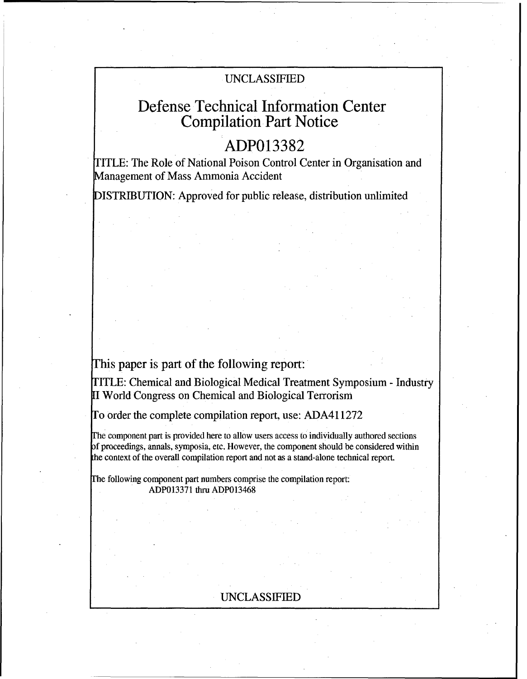# UNCLASSIFIED

# Defense Technical Information Center Compilation Part Notice

# **ADP013382**

TITLE: The Role of National Poison Control Center in Organisation and Management of Mass Ammonia Accident

DISTRIBUTION: Approved for public release, distribution unlimited

# This paper is part of the following report:

TITLE: Chemical and Biological Medical Treatment Symposium - Industry [I World Congress on Chemical and Biological Terrorism

To order the complete compilation report, use: ADA411272

rhe component part is provided here to allow users access to individually authored sections of proceedings, annals, symposia, etc. However, the component should be considered within the context of the overall compilation report and not as a stand-alone technical report.

Fhe following component part numbers comprise the compilation report: ADP013371 thru ADP013468

## UNCLASSIFIED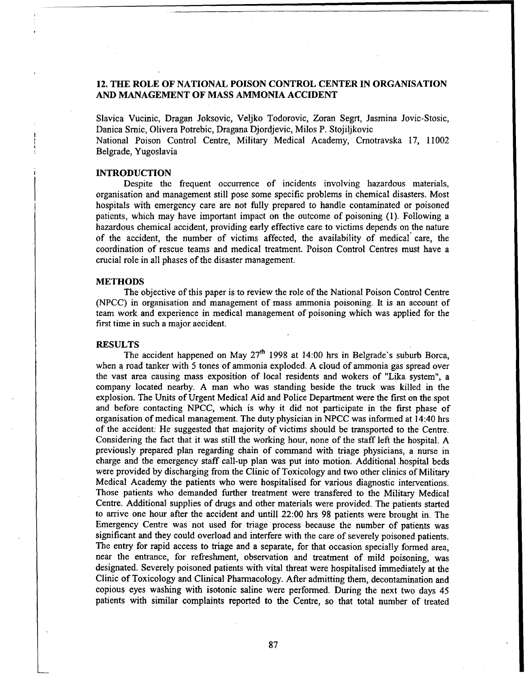## 12. **THE** ROLE OF **NATIONAL POISON** CONTROL **CENTER IN ORGANISATION AND MANAGEMENT** OF **MASS** AMMONIA **ACCIDENT**

Slavica Vucinic, Dragan Joksovic, Veljko Todorovic, Zoran Segrt, Jasmina Jovic-Stosic, Danica Srnic, Olivera Potrebic, Dragana Djordjevic, Milos P. Stojiljkovic

National Poison Control Centre, Military Medical Academy, Cmotravska 17, 11002 Belgrade, Yugoslavia

#### INTRODUCTION

Despite the frequent occurrence of incidents involving hazardous materials, organisation and management still pose some specific problems in chemical disasters. Most hospitals with emergency care are not fully prepared to handle contaminated or poisoned patients, which may have important impact on the outcome of poisoning (1). Following a hazardous chemical accident, providing early effective care to victims depends on the nature of the accident, the number of victims affected, the availability of medical care, the coordination of rescue teams and medical treatment. Poison Control Centres must have a crucial role in all phases of the disaster management.

#### **METHODS**

The objective of this paper is to review the role of the National Poison Control Centre (NPCC) in organisation and management of mass ammonia poisoning. It is an account of team work and experience in medical management of poisoning which was applied for the first time in such a major accident.

### **RESULTS**

The accident happened on May  $27<sup>th</sup>$  1998 at 14:00 hrs in Belgrade's suburb Borca, when a road tanker with 5 tones of ammonia exploded. A cloud of ammonia gas spread over the vast area causing mass exposition of local residents and wokers of "Lika system", a company located nearby. A man who was standing beside the truck was killed in the explosion. The Units of Urgent Medical Aid and Police Department were the first on the spot and before contacting NPCC, which is why it did not participate in the first phase of organisation of medical management. The duty physician in NPCC was informed at 14:40 hrs of the accident: He suggested that majority of victims should be transported to the Centre. Considering the fact that it was still the working hour, none of the staff left the hospital. A previously prepared plan regarding chain of command with triage physicians, a nurse in charge and the emergency staff call-up plan was put into motion. Additional hospital beds were provided by discharging from the Clinic of Toxicology and two other clinics of Military Medical Academy the patients who were hospitalised for various diagnostic interventions. Those patients who demanded further treatment were transfered to the Military Medical Centre. Additional supplies of drugs and other materials were provided. The patients started to arrive one hour after the accident and untill 22:00 hrs 98 patients were brought in. The Emergency Centre was not used for triage process because the number of patients was significant and they could overload and interfere with the care of severely poisoned patients. The entry for rapid access to triage and a separate, for that occasion specially formed area, near the entrance, for refreshment, observation and treatment of mild poisoning, was designated. Severely poisoned patients with vital threat were hospitalised immediately at the Clinic of Toxicology and Clinical Pharmacology. After admitting them, decontamination and copious eyes washing with isotonic saline were performed. During the next two days 45 patients with similar complaints reported to the Centre, so that total number of treated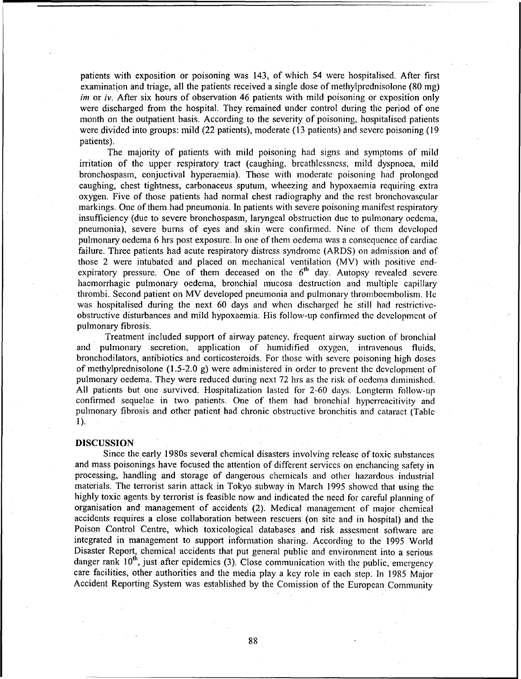patients with exposition or poisoning was 143, of which 54 were hospitalised. After first examination and triage, all the patients received a single dose of methylprednisolone (80 mg) *im* or *iv*. After six hours of observation 46 patients with mild poisoning or exposition only were discharged from the hospital. They remained under control during the period of one month on the outpatient basis. According to the severity of poisoning, hospitalised patients were divided into groups: mild (22 patients), moderate (13 patients) and severe poisoning (19 patients).

The majority of patients with mild poisoning had signs and symptoms of mild irritation of the upper respiratory tract (caughing, breathlessness, mild dyspnoca, mild bronchospasm, conjuctival hyperaemia). Those with moderate poisoning had prolonged caughing, chest tightness, carbonaceus sputum, wheezing and hypoxaemia requiring extra oxygen. Five of those patients had normal chest radiography and the rest bronchovascular markings. One of them had pneumonia. In patients with severe poisoning manifest respiratory insufficiency (due to severe bronchospasm, laryngeal obstruction due to pulmonary oedema, pneumonia), severe burns of eyes and skin were confirmed. Nine of them developed pulmonary oedema 6 hrs post exposure. In one of them oedema was a consequence of cardiac failure. Three patients had acute respiratory distress syndrome (ARDS) on admission and of those 2 were intubatcd and placed on mechanical ventilation (MV) with positive endexpiratory pressure. One of them deceased on the  $6<sup>th</sup>$  day. Autopsy revealed severe hacmorrhagic pulmonary oedema, bronchial mucosa destruction and multiple capillary thrombi. Second patient on MV developed pneumonia and pulmonary thromboembolism. **He** was hospitalised during the next 60 days and when discharged he still had restrictiveobstructive disturbances and mild hypoxaemia. His follow-up confirmed the development of pulmonary fibrosis.

Treatment included support of airway patency, frequent airway suction of bronchial and pulmonary secretion, application of humidified oxygen, intravenous fluids, bronchodilators, antibiotics and corticosteroids. For those with severe poisoning high doses of methylprednisolone (1.5-2.0 g) were administered in order to prevent the development of pulmonary oedema. They were reduced during next 72 hrs as the risk of oedema diminished. All patients but one survived. Hospitalization lasted for 2-60 days. Longterm follow-up confirmed sequelae in two patients. One of them had bronchial hyperreacitivity and pulmonary fibrosis and other patient had chronic obstructive bronchitis and cataract (Table 1).

### **DISCUSSION**

Since the early 1980s several chemical disasters involving release of toxic substances and mass poisonings have focused the attention of different services on enchancing safety in processing, handling and storage of dangerous chemicals and other hazardous industrial materials. The terrorist sarin attack in Tokyo subway in March 1995 showed that using the highly toxic agents by terrorist is feasible now and indicated the need for careful planning of organisation and management of accidents (2). Medical management of major chemical accidents requires a close collaboration between rescuers (on site and in hospital) and the Poison Control Centre, which toxicological databases and risk assesment software are integrated in management to support information sharing. According to the 1995 World Disaster Report, chemical accidents that put general public and environment into a serious danger rank  $10^{th}$ , just after epidemics (3). Close communication with the public, emergency care facilities, other authorities and the media play a key role in each step. In 1985 Major Accident Reporting System was established by the Comission of the European Community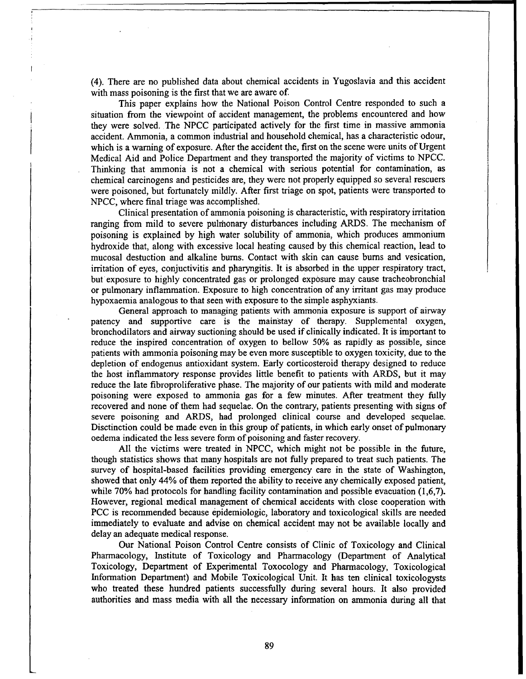(4). There are no published data about chemical accidents in Yugoslavia and this accident with mass poisoning is the first that we are aware *of.*

This paper explains how the National Poison Control Centre responded to such a situation from the viewpoint of accident management, the problems encountered and how they were solved. The NPCC participated actively for the first time in massive ammonia accident. Ammonia, a common industrial and household chemical, has a characteristic odour, which is a warning of exposure. After the accident the, first on the scene were units of Urgent Medical Aid and Police Department and they transported the majority of victims to NPCC. Thinking that ammonia is not a chemical with serious potential for contamination, as chemical carcinogens and pesticides are, they were not properly equipped so several rescuers were poisoned, but fortunately mildly. After first triage on spot, patients were transported to NPCC, where final triage was accomplished.

Clinical presentation of ammonia poisoning is characteristic, with respiratory irritation ranging from mild to severe pulmonary disturbances including ARDS. The mechanism of poisoning is explained by high water solubility of ammonia, which produces ammonium hydroxide that, along with excessive local heating caused by this chemical reaction, lead to mucosal destuction and alkaline bums. Contact with skin can cause bums and vesication, irritation of eyes, conjuctivitis and pharyngitis. It is absorbed in the upper respiratory tract, but exposure to highly concentrated gas or prolonged exposure may cause tracheobronchial or pulmonary inflammation. Exposure to high concentration of any irritant gas may produce hypoxaemia analogous to that seen with exposure to the simple asphyxiants.

General approach to managing patients with ammonia exposure is support of airway patency and supportive care is the mainstay of therapy. Supplemental oxygen, bronchodilators and airway suctioning should be used if clinically indicated. It is important to reduce the inspired concentration of oxygen to bellow 50% as rapidly as possible, since patients with ammonia poisoning may be even more susceptible to oxygen toxicity, due to the depletion of endogenus antioxidant system. Early corticosteroid therapy designed to reduce the host inflammatory response provides little benefit to patients with ARDS, but it may reduce the late fibroproliferative phase. The majority of our patients with mild and moderate poisoning were exposed to ammonia gas for a few minutes. After treatment they fully recovered and none of them had sequelae. On the contrary, patients presenting with signs of severe poisoning and ARDS, had prolonged clinical course and developed sequelae. Disctinction could be made even in this group of patients, in which early onset of pulmonary oedema indicated the less severe form of poisoning and faster recovery.

All the victims were treated in NPCC, which might not be possible in the future, though statistics shows that many hospitals are not fully prepared to treat such patients. The survey of hospital-based facilities providing emergency care in the state of Washington, showed that only 44% of them reported the ability to receive any chemically exposed patient, while 70% had protocols for handling facility contamination and possible evacuation (1,6,7). However, regional medical management of chemical accidents with close cooperation with PCC is recommended because epidemiologic, laboratory and toxicological skills are needed immediately to evaluate and advise on chemical accident may not be available locally and delay an adequate medical response.

Our National Poison Control Centre consists of Clinic of Toxicology and Clinical Pharmacology, Institute of Toxicology and Pharmacology (Department of Analytical Toxicology, Department of Experimental Toxocology and Pharmacology, Toxicological Information Department) and Mobile Toxicological Unit. It has ten clinical toxicologysts who treated these hundred patients successfully during several hours. It also provided authorities and mass media with all the necessary information on ammonia during all that